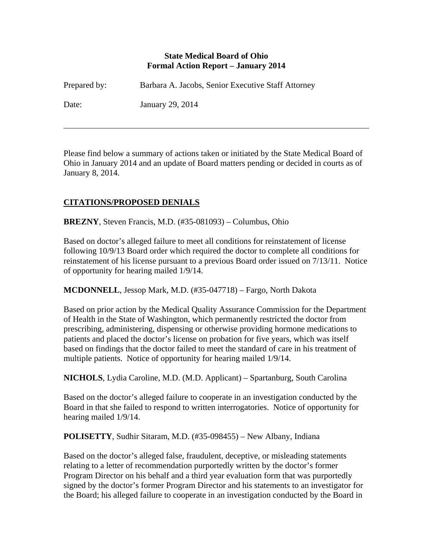#### **State Medical Board of Ohio Formal Action Report – January 2014**

| Prepared by: | Barbara A. Jacobs, Senior Executive Staff Attorney |
|--------------|----------------------------------------------------|
| Date:        | January 29, 2014                                   |

Please find below a summary of actions taken or initiated by the State Medical Board of Ohio in January 2014 and an update of Board matters pending or decided in courts as of January 8, 2014.

# **CITATIONS/PROPOSED DENIALS**

 $\overline{a}$ 

**BREZNY**, Steven Francis, M.D. (#35-081093) – Columbus, Ohio

Based on doctor's alleged failure to meet all conditions for reinstatement of license following 10/9/13 Board order which required the doctor to complete all conditions for reinstatement of his license pursuant to a previous Board order issued on 7/13/11. Notice of opportunity for hearing mailed 1/9/14.

**MCDONNELL**, Jessop Mark, M.D. (#35-047718) – Fargo, North Dakota

Based on prior action by the Medical Quality Assurance Commission for the Department of Health in the State of Washington, which permanently restricted the doctor from prescribing, administering, dispensing or otherwise providing hormone medications to patients and placed the doctor's license on probation for five years, which was itself based on findings that the doctor failed to meet the standard of care in his treatment of multiple patients. Notice of opportunity for hearing mailed 1/9/14.

**NICHOLS**, Lydia Caroline, M.D. (M.D. Applicant) – Spartanburg, South Carolina

Based on the doctor's alleged failure to cooperate in an investigation conducted by the Board in that she failed to respond to written interrogatories. Notice of opportunity for hearing mailed 1/9/14.

**POLISETTY**, Sudhir Sitaram, M.D. (#35-098455) – New Albany, Indiana

Based on the doctor's alleged false, fraudulent, deceptive, or misleading statements relating to a letter of recommendation purportedly written by the doctor's former Program Director on his behalf and a third year evaluation form that was purportedly signed by the doctor's former Program Director and his statements to an investigator for the Board; his alleged failure to cooperate in an investigation conducted by the Board in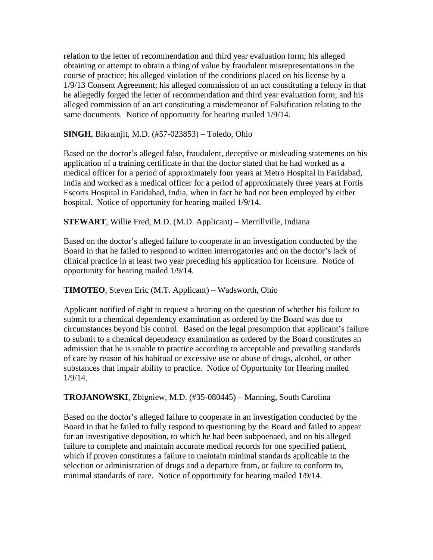relation to the letter of recommendation and third year evaluation form; his alleged obtaining or attempt to obtain a thing of value by fraudulent misrepresentations in the course of practice; his alleged violation of the conditions placed on his license by a 1/9/13 Consent Agreement; his alleged commission of an act constituting a felony in that he allegedly forged the letter of recommendation and third year evaluation form; and his alleged commission of an act constituting a misdemeanor of Falsification relating to the same documents. Notice of opportunity for hearing mailed 1/9/14.

**SINGH**, Bikramjit, M.D. (#57-023853) – Toledo, Ohio

Based on the doctor's alleged false, fraudulent, deceptive or misleading statements on his application of a training certificate in that the doctor stated that he had worked as a medical officer for a period of approximately four years at Metro Hospital in Faridabad, India and worked as a medical officer for a period of approximately three years at Fortis Escorts Hospital in Faridabad, India, when in fact he had not been employed by either hospital. Notice of opportunity for hearing mailed 1/9/14.

**STEWART**, Willie Fred, M.D. (M.D. Applicant) – Merrillville, Indiana

Based on the doctor's alleged failure to cooperate in an investigation conducted by the Board in that he failed to respond to written interrogatories and on the doctor's lack of clinical practice in at least two year preceding his application for licensure. Notice of opportunity for hearing mailed 1/9/14.

**TIMOTEO**, Steven Eric (M.T. Applicant) – Wadsworth, Ohio

Applicant notified of right to request a hearing on the question of whether his failure to submit to a chemical dependency examination as ordered by the Board was due to circumstances beyond his control. Based on the legal presumption that applicant's failure to submit to a chemical dependency examination as ordered by the Board constitutes an admission that he is unable to practice according to acceptable and prevailing standards of care by reason of his habitual or excessive use or abuse of drugs, alcohol, or other substances that impair ability to practice. Notice of Opportunity for Hearing mailed 1/9/14.

**TROJANOWSKI**, Zbigniew, M.D. (#35-080445) – Manning, South Carolina

Based on the doctor's alleged failure to cooperate in an investigation conducted by the Board in that he failed to fully respond to questioning by the Board and failed to appear for an investigative deposition, to which he had been subpoenaed, and on his alleged failure to complete and maintain accurate medical records for one specified patient, which if proven constitutes a failure to maintain minimal standards applicable to the selection or administration of drugs and a departure from, or failure to conform to, minimal standards of care. Notice of opportunity for hearing mailed 1/9/14.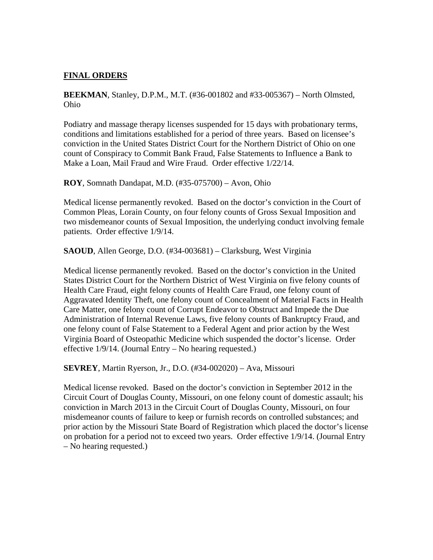### **FINAL ORDERS**

**BEEKMAN**, Stanley, D.P.M., M.T. (#36-001802 and #33-005367) – North Olmsted, Ohio

Podiatry and massage therapy licenses suspended for 15 days with probationary terms, conditions and limitations established for a period of three years. Based on licensee's conviction in the United States District Court for the Northern District of Ohio on one count of Conspiracy to Commit Bank Fraud, False Statements to Influence a Bank to Make a Loan, Mail Fraud and Wire Fraud. Order effective 1/22/14.

**ROY**, Somnath Dandapat, M.D. (#35-075700) – Avon, Ohio

Medical license permanently revoked. Based on the doctor's conviction in the Court of Common Pleas, Lorain County, on four felony counts of Gross Sexual Imposition and two misdemeanor counts of Sexual Imposition, the underlying conduct involving female patients. Order effective 1/9/14.

**SAOUD**, Allen George, D.O. (#34-003681) – Clarksburg, West Virginia

Medical license permanently revoked. Based on the doctor's conviction in the United States District Court for the Northern District of West Virginia on five felony counts of Health Care Fraud, eight felony counts of Health Care Fraud, one felony count of Aggravated Identity Theft, one felony count of Concealment of Material Facts in Health Care Matter, one felony count of Corrupt Endeavor to Obstruct and Impede the Due Administration of Internal Revenue Laws, five felony counts of Bankruptcy Fraud, and one felony count of False Statement to a Federal Agent and prior action by the West Virginia Board of Osteopathic Medicine which suspended the doctor's license. Order effective 1/9/14. (Journal Entry – No hearing requested.)

**SEVREY**, Martin Ryerson, Jr., D.O. (#34-002020) – Ava, Missouri

Medical license revoked. Based on the doctor's conviction in September 2012 in the Circuit Court of Douglas County, Missouri, on one felony count of domestic assault; his conviction in March 2013 in the Circuit Court of Douglas County, Missouri, on four misdemeanor counts of failure to keep or furnish records on controlled substances; and prior action by the Missouri State Board of Registration which placed the doctor's license on probation for a period not to exceed two years. Order effective 1/9/14. (Journal Entry – No hearing requested.)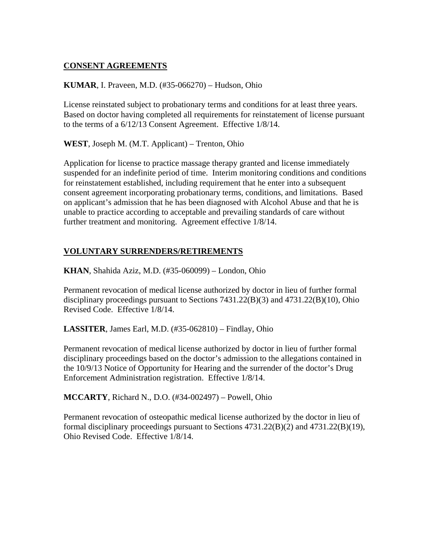## **CONSENT AGREEMENTS**

#### **KUMAR**, I. Praveen, M.D. (#35-066270) – Hudson, Ohio

License reinstated subject to probationary terms and conditions for at least three years. Based on doctor having completed all requirements for reinstatement of license pursuant to the terms of a 6/12/13 Consent Agreement. Effective 1/8/14.

**WEST**, Joseph M. (M.T. Applicant) – Trenton, Ohio

Application for license to practice massage therapy granted and license immediately suspended for an indefinite period of time. Interim monitoring conditions and conditions for reinstatement established, including requirement that he enter into a subsequent consent agreement incorporating probationary terms, conditions, and limitations. Based on applicant's admission that he has been diagnosed with Alcohol Abuse and that he is unable to practice according to acceptable and prevailing standards of care without further treatment and monitoring. Agreement effective  $1/8/14$ .

### **VOLUNTARY SURRENDERS/RETIREMENTS**

**KHAN**, Shahida Aziz, M.D. (#35-060099) – London, Ohio

Permanent revocation of medical license authorized by doctor in lieu of further formal disciplinary proceedings pursuant to Sections 7431.22(B)(3) and 4731.22(B)(10), Ohio Revised Code. Effective 1/8/14.

**LASSITER**, James Earl, M.D. (#35-062810) – Findlay, Ohio

Permanent revocation of medical license authorized by doctor in lieu of further formal disciplinary proceedings based on the doctor's admission to the allegations contained in the 10/9/13 Notice of Opportunity for Hearing and the surrender of the doctor's Drug Enforcement Administration registration. Effective 1/8/14.

**MCCARTY**, Richard N., D.O. (#34-002497) – Powell, Ohio

Permanent revocation of osteopathic medical license authorized by the doctor in lieu of formal disciplinary proceedings pursuant to Sections 4731.22(B)(2) and 4731.22(B)(19), Ohio Revised Code. Effective 1/8/14.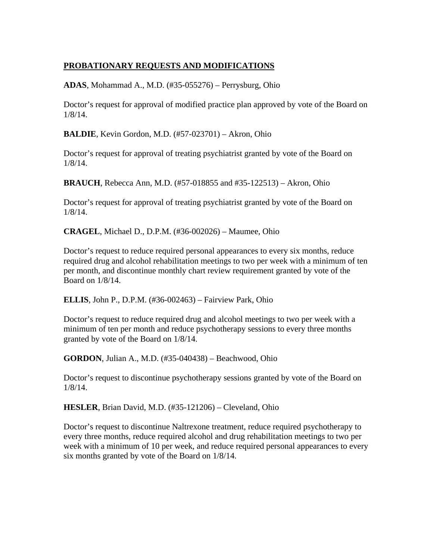## **PROBATIONARY REQUESTS AND MODIFICATIONS**

**ADAS**, Mohammad A., M.D. (#35-055276) – Perrysburg, Ohio

Doctor's request for approval of modified practice plan approved by vote of the Board on 1/8/14.

**BALDIE**, Kevin Gordon, M.D. (#57-023701) – Akron, Ohio

Doctor's request for approval of treating psychiatrist granted by vote of the Board on 1/8/14.

**BRAUCH**, Rebecca Ann, M.D. (#57-018855 and #35-122513) – Akron, Ohio

Doctor's request for approval of treating psychiatrist granted by vote of the Board on 1/8/14.

**CRAGEL**, Michael D., D.P.M. (#36-002026) – Maumee, Ohio

Doctor's request to reduce required personal appearances to every six months, reduce required drug and alcohol rehabilitation meetings to two per week with a minimum of ten per month, and discontinue monthly chart review requirement granted by vote of the Board on 1/8/14.

**ELLIS**, John P., D.P.M. (#36-002463) – Fairview Park, Ohio

Doctor's request to reduce required drug and alcohol meetings to two per week with a minimum of ten per month and reduce psychotherapy sessions to every three months granted by vote of the Board on 1/8/14.

**GORDON**, Julian A., M.D. (#35-040438) – Beachwood, Ohio

Doctor's request to discontinue psychotherapy sessions granted by vote of the Board on 1/8/14.

**HESLER**, Brian David, M.D. (#35-121206) – Cleveland, Ohio

Doctor's request to discontinue Naltrexone treatment, reduce required psychotherapy to every three months, reduce required alcohol and drug rehabilitation meetings to two per week with a minimum of 10 per week, and reduce required personal appearances to every six months granted by vote of the Board on 1/8/14.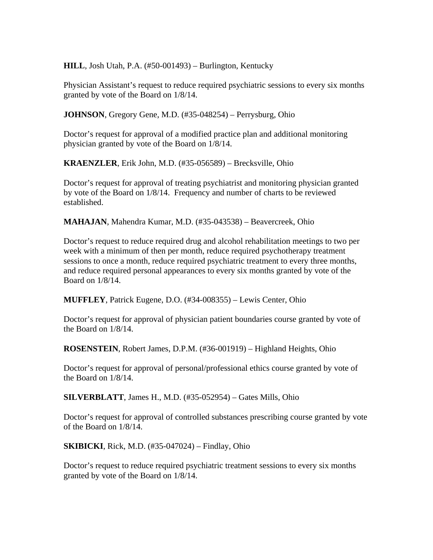**HILL**, Josh Utah, P.A. (#50-001493) – Burlington, Kentucky

Physician Assistant's request to reduce required psychiatric sessions to every six months granted by vote of the Board on 1/8/14.

**JOHNSON**, Gregory Gene, M.D. (#35-048254) – Perrysburg, Ohio

Doctor's request for approval of a modified practice plan and additional monitoring physician granted by vote of the Board on 1/8/14.

**KRAENZLER**, Erik John, M.D. (#35-056589) – Brecksville, Ohio

Doctor's request for approval of treating psychiatrist and monitoring physician granted by vote of the Board on 1/8/14. Frequency and number of charts to be reviewed established.

**MAHAJAN**, Mahendra Kumar, M.D. (#35-043538) – Beavercreek, Ohio

Doctor's request to reduce required drug and alcohol rehabilitation meetings to two per week with a minimum of then per month, reduce required psychotherapy treatment sessions to once a month, reduce required psychiatric treatment to every three months, and reduce required personal appearances to every six months granted by vote of the Board on 1/8/14.

**MUFFLEY**, Patrick Eugene, D.O. (#34-008355) – Lewis Center, Ohio

Doctor's request for approval of physician patient boundaries course granted by vote of the Board on 1/8/14.

**ROSENSTEIN**, Robert James, D.P.M. (#36-001919) – Highland Heights, Ohio

Doctor's request for approval of personal/professional ethics course granted by vote of the Board on 1/8/14.

**SILVERBLATT**, James H., M.D. (#35-052954) – Gates Mills, Ohio

Doctor's request for approval of controlled substances prescribing course granted by vote of the Board on 1/8/14.

**SKIBICKI**, Rick, M.D. (#35-047024) – Findlay, Ohio

Doctor's request to reduce required psychiatric treatment sessions to every six months granted by vote of the Board on 1/8/14.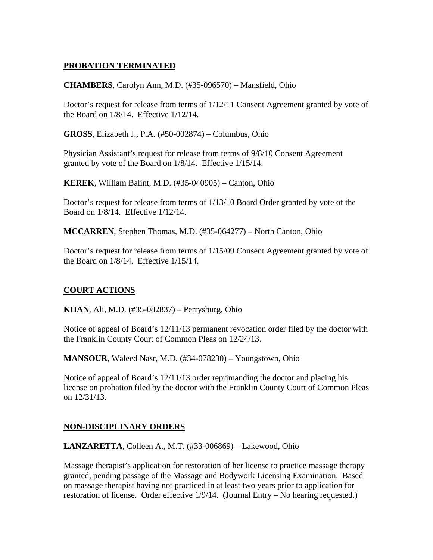## **PROBATION TERMINATED**

**CHAMBERS**, Carolyn Ann, M.D. (#35-096570) – Mansfield, Ohio

Doctor's request for release from terms of 1/12/11 Consent Agreement granted by vote of the Board on 1/8/14. Effective 1/12/14.

**GROSS**, Elizabeth J., P.A. (#50-002874) – Columbus, Ohio

Physician Assistant's request for release from terms of 9/8/10 Consent Agreement granted by vote of the Board on 1/8/14. Effective 1/15/14.

**KEREK**, William Balint, M.D. (#35-040905) – Canton, Ohio

Doctor's request for release from terms of 1/13/10 Board Order granted by vote of the Board on 1/8/14. Effective 1/12/14.

**MCCARREN**, Stephen Thomas, M.D. (#35-064277) – North Canton, Ohio

Doctor's request for release from terms of 1/15/09 Consent Agreement granted by vote of the Board on 1/8/14. Effective 1/15/14.

### **COURT ACTIONS**

**KHAN**, Ali, M.D. (#35-082837) – Perrysburg, Ohio

Notice of appeal of Board's 12/11/13 permanent revocation order filed by the doctor with the Franklin County Court of Common Pleas on 12/24/13.

**MANSOUR**, Waleed Nasr, M.D. (#34-078230) – Youngstown, Ohio

Notice of appeal of Board's 12/11/13 order reprimanding the doctor and placing his license on probation filed by the doctor with the Franklin County Court of Common Pleas on 12/31/13.

### **NON-DISCIPLINARY ORDERS**

**LANZARETTA**, Colleen A., M.T. (#33-006869) – Lakewood, Ohio

Massage therapist's application for restoration of her license to practice massage therapy granted, pending passage of the Massage and Bodywork Licensing Examination. Based on massage therapist having not practiced in at least two years prior to application for restoration of license. Order effective 1/9/14. (Journal Entry – No hearing requested.)